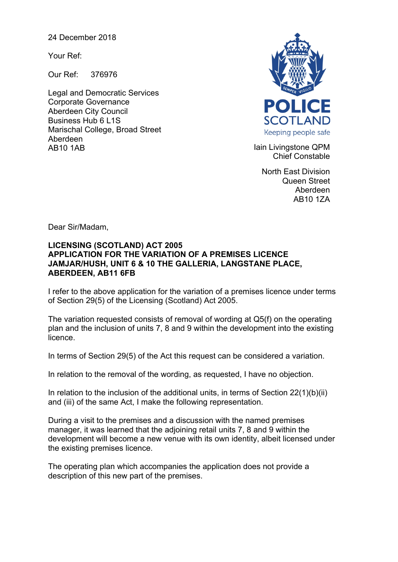24 December 2018

Your Ref:

Our Ref: 376976

Legal and Democratic Services Corporate Governance Aberdeen City Council Business Hub 6 L1S Marischal College, Broad Street Aberdeen AB10 1AB **Iain Livingstone QPM** 



Chief Constable

North East Division Queen Street Aberdeen AB10 1ZA

Dear Sir/Madam,

## **LICENSING (SCOTLAND) ACT 2005 APPLICATION FOR THE VARIATION OF A PREMISES LICENCE JAMJAR/HUSH, UNIT 6 & 10 THE GALLERIA, LANGSTANE PLACE, ABERDEEN, AB11 6FB**

I refer to the above application for the variation of a premises licence under terms of Section 29(5) of the Licensing (Scotland) Act 2005.

The variation requested consists of removal of wording at Q5(f) on the operating plan and the inclusion of units 7, 8 and 9 within the development into the existing licence.

In terms of Section 29(5) of the Act this request can be considered a variation.

In relation to the removal of the wording, as requested, I have no objection.

In relation to the inclusion of the additional units, in terms of Section 22(1)(b)(ii) and (iii) of the same Act, I make the following representation.

During a visit to the premises and a discussion with the named premises manager, it was learned that the adjoining retail units 7, 8 and 9 within the development will become a new venue with its own identity, albeit licensed under the existing premises licence.

The operating plan which accompanies the application does not provide a description of this new part of the premises.